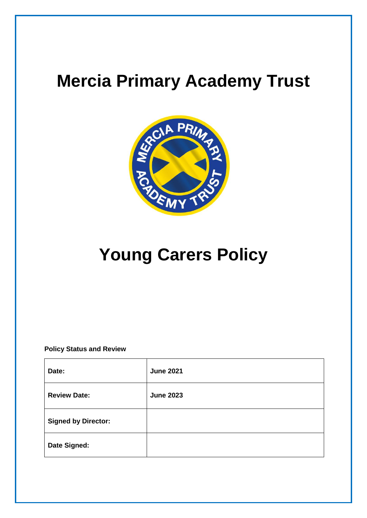## **Mercia Primary Academy Trust**



# **Young Carers Policy**

**Policy Status and Review**

| Date:                      | <b>June 2021</b> |
|----------------------------|------------------|
| <b>Review Date:</b>        | <b>June 2023</b> |
| <b>Signed by Director:</b> |                  |
| Date Signed:               |                  |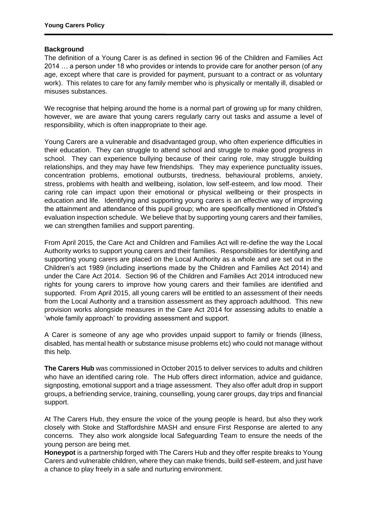## **Background**

The definition of a Young Carer is as defined in section 96 of the Children and Families Act 2014 … a person under 18 who provides or intends to provide care for another person (of any age, except where that care is provided for payment, pursuant to a contract or as voluntary work). This relates to care for any family member who is physically or mentally ill, disabled or misuses substances.

We recognise that helping around the home is a normal part of growing up for many children, however, we are aware that young carers regularly carry out tasks and assume a level of responsibility, which is often inappropriate to their age.

Young Carers are a vulnerable and disadvantaged group, who often experience difficulties in their education. They can struggle to attend school and struggle to make good progress in school. They can experience bullying because of their caring role, may struggle building relationships, and they may have few friendships. They may experience punctuality issues, concentration problems, emotional outbursts, tiredness, behavioural problems, anxiety, stress, problems with health and wellbeing, isolation, low self-esteem, and low mood. Their caring role can impact upon their emotional or physical wellbeing or their prospects in education and life. Identifying and supporting young carers is an effective way of improving the attainment and attendance of this pupil group; who are specifically mentioned in Ofsted's evaluation inspection schedule. We believe that by supporting young carers and their families, we can strengthen families and support parenting.

From April 2015, the Care Act and Children and Families Act will re-define the way the Local Authority works to support young carers and their families. Responsibilities for identifying and supporting young carers are placed on the Local Authority as a whole and are set out in the Children's act 1989 (including insertions made by the Children and Families Act 2014) and under the Care Act 2014. Section 96 of the Children and Families Act 2014 introduced new rights for young carers to improve how young carers and their families are identified and supported. From April 2015, all young carers will be entitled to an assessment of their needs from the Local Authority and a transition assessment as they approach adulthood. This new provision works alongside measures in the Care Act 2014 for assessing adults to enable a 'whole family approach' to providing assessment and support.

A Carer is someone of any age who provides unpaid support to family or friends (illness, disabled, has mental health or substance misuse problems etc) who could not manage without this help.

**The Carers Hub** was commissioned in October 2015 to deliver services to adults and children who have an identified caring role. The Hub offers direct information, advice and guidance, signposting, emotional support and a triage assessment. They also offer adult drop in support groups, a befriending service, training, counselling, young carer groups, day trips and financial support.

At The Carers Hub, they ensure the voice of the young people is heard, but also they work closely with Stoke and Staffordshire MASH and ensure First Response are alerted to any concerns. They also work alongside local Safeguarding Team to ensure the needs of the young person are being met.

**Honeypot** is a partnership forged with The Carers Hub and they offer respite breaks to Young Carers and vulnerable children, where they can make friends, build self-esteem, and just have a chance to play freely in a safe and nurturing environment.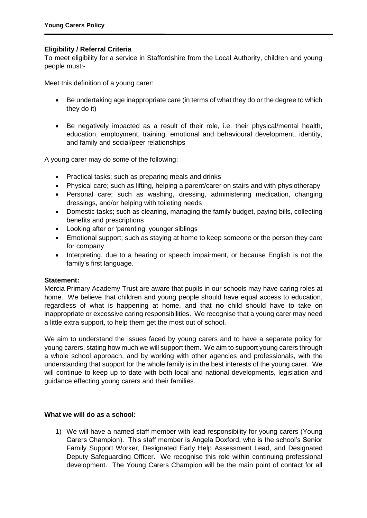## **Eligibility / Referral Criteria**

To meet eligibility for a service in Staffordshire from the Local Authority, children and young people must:-

Meet this definition of a young carer:

- Be undertaking age inappropriate care (in terms of what they do or the degree to which they do it)
- Be negatively impacted as a result of their role, i.e. their physical/mental health, education, employment, training, emotional and behavioural development, identity, and family and social/peer relationships

A young carer may do some of the following:

- Practical tasks; such as preparing meals and drinks
- Physical care; such as lifting, helping a parent/carer on stairs and with physiotherapy
- Personal care; such as washing, dressing, administering medication, changing dressings, and/or helping with toileting needs
- Domestic tasks; such as cleaning, managing the family budget, paying bills, collecting benefits and prescriptions
- Looking after or 'parenting' younger siblings
- Emotional support; such as staying at home to keep someone or the person they care for company
- Interpreting, due to a hearing or speech impairment, or because English is not the family's first language.

#### **Statement:**

Mercia Primary Academy Trust are aware that pupils in our schools may have caring roles at home. We believe that children and young people should have equal access to education, regardless of what is happening at home, and that **no** child should have to take on inappropriate or excessive caring responsibilities. We recognise that a young carer may need a little extra support, to help them get the most out of school.

We aim to understand the issues faced by young carers and to have a separate policy for young carers, stating how much we will support them. We aim to support young carers through a whole school approach, and by working with other agencies and professionals, with the understanding that support for the whole family is in the best interests of the young carer. We will continue to keep up to date with both local and national developments, legislation and guidance effecting young carers and their families.

#### **What we will do as a school:**

1) We will have a named staff member with lead responsibility for young carers (Young Carers Champion). This staff member is Angela Doxford, who is the school's Senior Family Support Worker, Designated Early Help Assessment Lead, and Designated Deputy Safeguarding Officer. We recognise this role within continuing professional development. The Young Carers Champion will be the main point of contact for all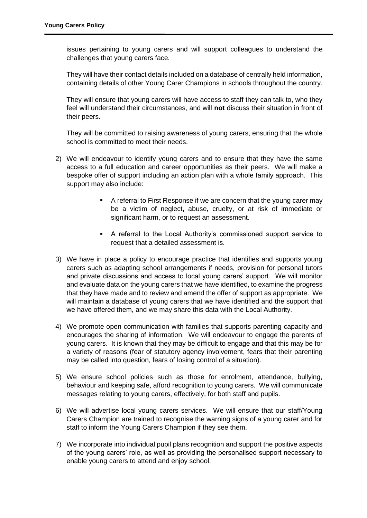issues pertaining to young carers and will support colleagues to understand the challenges that young carers face.

They will have their contact details included on a database of centrally held information, containing details of other Young Carer Champions in schools throughout the country.

They will ensure that young carers will have access to staff they can talk to, who they feel will understand their circumstances, and will **not** discuss their situation in front of their peers.

They will be committed to raising awareness of young carers, ensuring that the whole school is committed to meet their needs.

- 2) We will endeavour to identify young carers and to ensure that they have the same access to a full education and career opportunities as their peers. We will make a bespoke offer of support including an action plan with a whole family approach. This support may also include:
	- A referral to First Response if we are concern that the young carer may be a victim of neglect, abuse, cruelty, or at risk of immediate or significant harm, or to request an assessment.
	- A referral to the Local Authority's commissioned support service to request that a detailed assessment is.
- 3) We have in place a policy to encourage practice that identifies and supports young carers such as adapting school arrangements if needs, provision for personal tutors and private discussions and access to local young carers' support. We will monitor and evaluate data on the young carers that we have identified, to examine the progress that they have made and to review and amend the offer of support as appropriate. We will maintain a database of young carers that we have identified and the support that we have offered them, and we may share this data with the Local Authority.
- 4) We promote open communication with families that supports parenting capacity and encourages the sharing of information. We will endeavour to engage the parents of young carers. It is known that they may be difficult to engage and that this may be for a variety of reasons (fear of statutory agency involvement, fears that their parenting may be called into question, fears of losing control of a situation).
- 5) We ensure school policies such as those for enrolment, attendance, bullying, behaviour and keeping safe, afford recognition to young carers. We will communicate messages relating to young carers, effectively, for both staff and pupils.
- 6) We will advertise local young carers services. We will ensure that our staff/Young Carers Champion are trained to recognise the warning signs of a young carer and for staff to inform the Young Carers Champion if they see them.
- 7) We incorporate into individual pupil plans recognition and support the positive aspects of the young carers' role, as well as providing the personalised support necessary to enable young carers to attend and enjoy school.